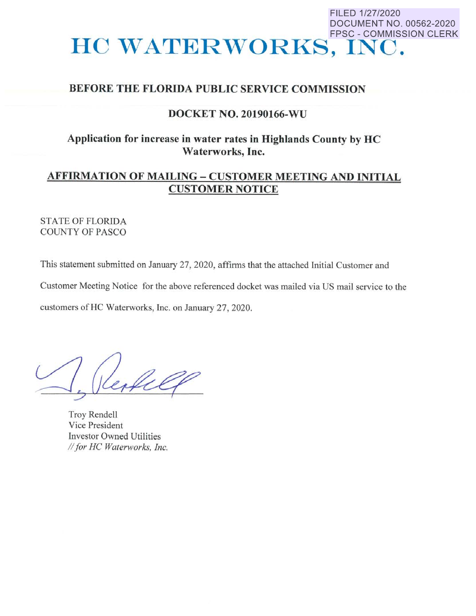# FILED 1/27/2020 DOCUMENT NO. 00562-2020 FPSC - COMMISSION CLERK **HO WATERWORKS, INC.**

## BEFORE THE FLORIDA PUBLIC SERVICE COMMISSION

## DOCKET NO. 20190166-WU

## **Application for increase in water rates in Highlands County by HC Waterworks, Inc.**

# **AFFIRMATION OF MAILING** - **CUSTOMER MEETING AND INITIAL CUSTOMER NOTICE**

## STATE OF FLORIDA COUNTY OF PASCO

This statement submitted on January 27, 2020, affirms that the attached Initial Customer and Customer Meeting Notice for the above referenced docket was mailed via US mail service to the customers of HC Waterworks, Inc. on January 27, 2020.

leafely

Troy Rendell Vice President Investor Owned Utilities *II for HC Waterworks, Inc.*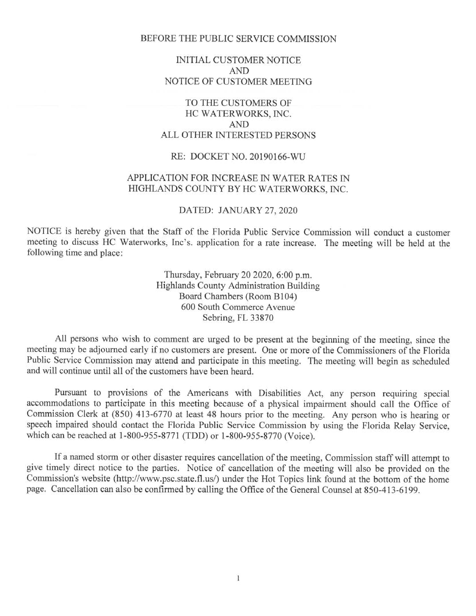#### BEFORE THE PUBLIC SERVICE COMMISSION

### INITIAL CUSTOMER NOTICE AND NOTICE OF CUSTOMER MEETING

## TO THE CUSTOMERS OF HC WATERWORKS, INC. AND ALL OTHER INTERESTED PERSONS

#### RE: DOCKET NO. 20190166-WU

### APPLICATION FOR INCREASE IN WATER RATES IN HIGHLANDS COUNTY BY HC WATERWORKS, INC.

#### DATED: JANUARY 27, 2020

NOTICE is hereby given that the Staff of the Florida Public Service Commission will conduct a customer meeting to discuss HC Waterworks, Inc's. application for a rate increase. The meeting will be held at the following time and place:

> Thursday, February 20 2020, 6:00 p.m. Highlands County Administration Building Board Chambers (Room Bl04) 600 South Commerce A venue Sebring, FL 33870

All persons who wish to comment are urged to be present at the beginning of the meeting, since the meeting may be adjourned early if no customers are present. One or more of the Commissioners of the Florida Public Service Commission may attend and participate in this meeting. The meeting will begin as scheduled and will continue until all of the customers have been heard.

Pursuant to provisions of the Americans with Disabilities Act, any person requiring special accommodations to participate in this meeting because of a physical impairment should call the Office of Commission Clerk at (850) 413-6770 at least 48 hours prior to the meeting. Any person who is hearing or speech impaired should contact the Florida Public Service Commission by using the Florida Relay Service, which can be reached at 1-800-955-8771 (TDD) or 1-800-955-8770 (Voice).

If a named storm or other disaster requires cancellation of the meeting, Commission staff will attempt to give timely direct notice to the parties. Notice of cancellation of the meeting will also be provided on the Commission's website (http://www.psc.state.fl.us/) under the Hot Topics link found at the bottom of the home page. Cancellation can also be confirmed by calling the Office of the General Counsel at 850-413-6199.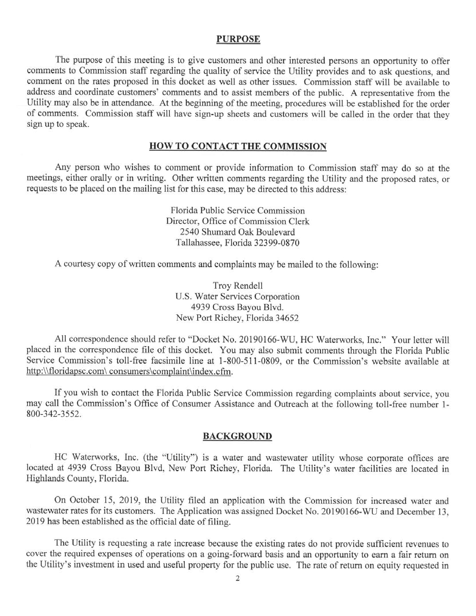#### **PURPOSE**

The purpose of this meeting is to give customers and other interested persons an opportunity to offer comments to Commission staff regarding the quality of service the Utility provides and to ask questions, and comment on the rates proposed in this docket as well as other issues. Commission staff will be available to address and coordinate customers' comments and to assist members of the public. A representative from the Utility may also be in attendance. At the beginning of the meeting, procedures will be established for the order of comments. Commission staff will have sign-up sheets and customers will be called in the order that they sign up to speak.

### **HOW TO CONTACT THE COMMISSION**

Any person who wishes to comment or provide information to Commission staff may do so at the meetings, either orally or in writing. Other written comments regarding the Utility and the proposed rates, or requests to be placed on the mailing list for this case, may be directed to this address:

> Florida Public Service Commission Director, Office of Commission Clerk 2540 Shumard Oak Boulevard Tallahassee, Florida 32399-0870

A courtesy copy of written comments and complaints may be mailed to the following:

Troy Rendell U.S. Water Services Corporation 4939 Cross Bayou Blvd. New Port Richey, Florida 34652

All correspondence should refer to "Docket No. 20190166-WU, HC Waterworks, Inc." Your letter will placed in the correspondence file of this docket. You may also submit comments through the Florida Public Service Commission's toll-free facsimile line at 1-800-511-0809, or the Commission's website available at http:\\floridapsc.com\ consumers\complaint\index.cfm.

If you wish to contact the Florida Public Service Commission regarding complaints about service, you may call the Commission's Office of Consumer Assistance and Outreach at the following toll-free number 1- 800-342-3552.

#### **BACKGROUND**

HC Waterworks, Inc. (the "Utility") is a water and wastewater utility whose corporate offices are located at 4939 Cross Bayou Blvd, New Port Richey, Florida. The Utility's water facilities are located in Highlands County, Florida.

On October 15, 2019, the Utility filed an application with the Commission for increased water and wastewater rates for its customers. The Application was assigned Docket No. 20190166-WU and December 13, 2019 has been established as the official date of filing.

The Utility is requesting a rate increase because the existing rates do not provide sufficient revenues to cover the required expenses of operations on a going-forward basis and an opportunity to earn a fair return on the Utility's investment in used and useful property for the public use. The rate of return on equity requested in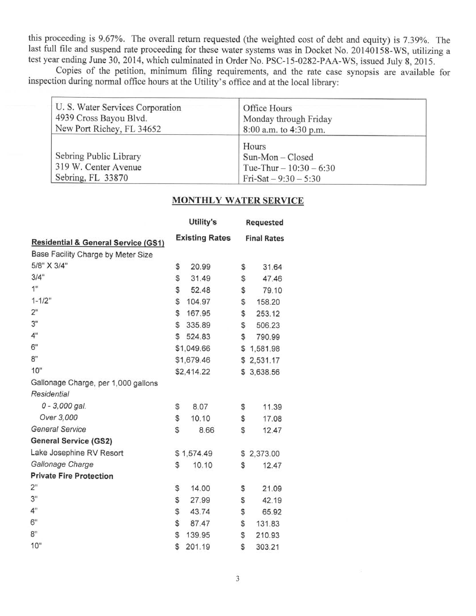this proceeding is 9.67%. The overall return requested (the weighted cost of debt and equity) is 7.39%. The last full file and suspend rate proceeding for these water systems was in Docket No. 20140158-WS, utilizing a test year ending June 30, 2014, which culminated in Order No. PSC-15-0282-PAA-WS, issued July 8, 2015.

Copies of the petition, minimum filing requirements, and the rate case synopsis are available for inspection during normal office hours at the Utility's office and at the local library:

| U. S. Water Services Corporation<br>4939 Cross Bayou Blvd.<br>New Port Richey, FL 34652 | Office Hours<br>Monday through Friday<br>8:00 a.m. to 4:30 p.m.                  |  |
|-----------------------------------------------------------------------------------------|----------------------------------------------------------------------------------|--|
| Sebring Public Library<br>319 W. Center Avenue<br>Sebring, FL 33870                     | Hours<br>$Sun-Mon-Closed$<br>Tue-Thur $-10:30 - 6:30$<br>$Tri-Sat - 9:30 - 5:30$ |  |

#### **MONTHLY WATER SERVICE**

|                                                | Utility's             | <b>Requested</b>   |
|------------------------------------------------|-----------------------|--------------------|
| <b>Residential &amp; General Service (GS1)</b> | <b>Existing Rates</b> | <b>Final Rates</b> |
| Base Facility Charge by Meter Size             |                       |                    |
| 5/8" X 3/4"                                    | \$<br>20.99           | \$<br>31.64        |
| 3/4"                                           | \$<br>31.49           | \$<br>47.46        |
| 1"                                             | \$<br>52.48           | \$<br>79.10        |
| $1 - 1/2"$                                     | \$<br>104.97          | \$<br>158.20       |
| 2"                                             | \$<br>167.95          | \$<br>253.12       |
| 3"                                             | \$<br>335.89          | \$<br>506.23       |
| 4"                                             | \$<br>524.83          | \$<br>790.99       |
| 6"                                             | \$1,049.66            | \$<br>1,581.98     |
| 8"                                             | \$1,679.46            | \$<br>2,531.17     |
| 10"                                            | \$2,414.22            | \$<br>3,638.56     |
| Gallonage Charge, per 1,000 gallons            |                       |                    |
| <b>Residential</b>                             |                       |                    |
| $0 - 3,000$ gal.                               | \$<br>8.07            | \$<br>11.39        |
| Over 3,000                                     | \$<br>10.10           | \$<br>17.08        |
| <b>General Service</b>                         | \$<br>8.66            | \$<br>12.47        |
| <b>General Service (GS2)</b>                   |                       |                    |
| Lake Josephine RV Resort                       | \$1,574.49            | \$<br>2,373.00     |
| Gallonage Charge                               | \$<br>10.10           | \$<br>12.47        |
| <b>Private Fire Protection</b>                 |                       |                    |
| 2"                                             | \$<br>14.00           | \$<br>21.09        |
| 3"                                             | \$<br>27.99           | \$<br>42.19        |
| 4"                                             | \$<br>43.74           | \$<br>65.92        |
| 6"                                             | \$<br>87.47           | \$<br>131.83       |
| 8"                                             | \$<br>139.95          | \$<br>210.93       |
| 10"                                            | \$<br>201.19          | \$<br>303.21       |